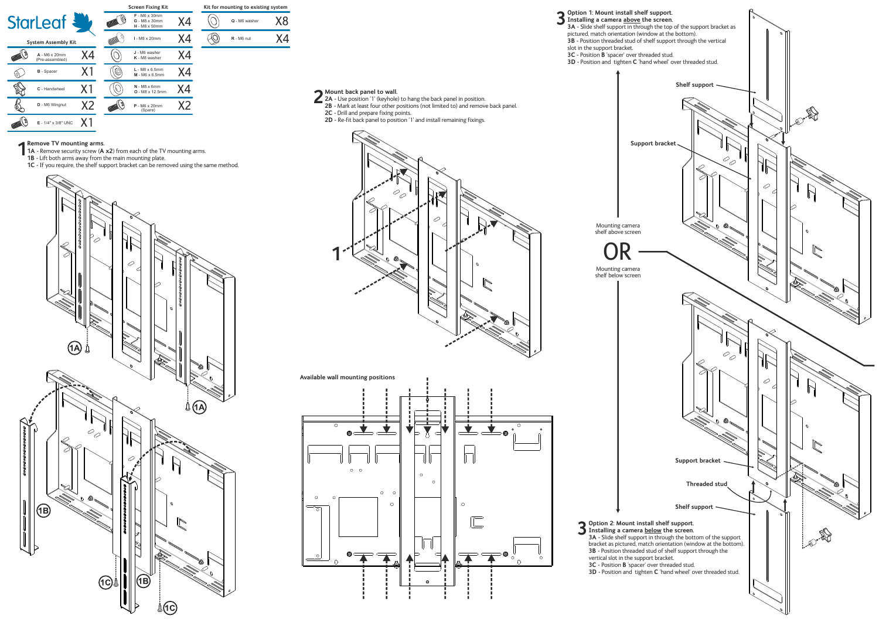| <b>StarLeaf &amp;</b><br><b>System Assembly Kit</b> |                                  |                | <b>Screen Fixing Kit</b> |                                                                        |    | Kit for mounting to |              |
|-----------------------------------------------------|----------------------------------|----------------|--------------------------|------------------------------------------------------------------------|----|---------------------|--------------|
|                                                     |                                  |                |                          | $F - M6 \times 30$ mm<br><b>G</b> - M8 x 30mm<br>$H - M8 \times 50$ mm | Х4 |                     | $Q - M6$ wa  |
|                                                     |                                  |                |                          | I - M8 x 20mm                                                          | Х4 |                     | $R - M6$ nut |
|                                                     | A - M6 x 20mm<br>(Pre-assembled) | Х4             |                          | J - M6 washer<br>K - M8 washer                                         | Х4 |                     |              |
|                                                     | <b>B</b> - Spacer                | X1             | (0)                      | $L - M8 \times 6.5$ mm<br>$M - M6 \times 6.5$ mm                       | Х4 |                     |              |
|                                                     | C - Handwheel                    | X1             |                          | $N - M8 \times 6$ mm<br>$O - M8 \times 12.5$ mm                        | Χ4 |                     |              |
|                                                     | D - M6 Wingnut                   | X <sub>2</sub> |                          | $P - MG \times 20$ mm<br>(Spare)                                       | X2 |                     |              |
|                                                     | E - 1/4" x 3/8" UNC              |                |                          |                                                                        |    |                     |              |

| Kit for mounting to existing system |               |     |  |  |  |  |
|-------------------------------------|---------------|-----|--|--|--|--|
|                                     | Q - M6 washer | X X |  |  |  |  |
|                                     | $R - M6$ nut  |     |  |  |  |  |

## **Remove TV mounting arms.**

- **1A -** Remove security screw (**A x2**) from each of the TV mounting arms. **1B - Remove TV mounting arms.**<br>**1B -** Lift both arms away from the main mounting plate.
	-
- **1C -** If you require, the shelf support bracket can be removed using the same method.



## **Mount back panel to wall.**

- 
- 
- 
-